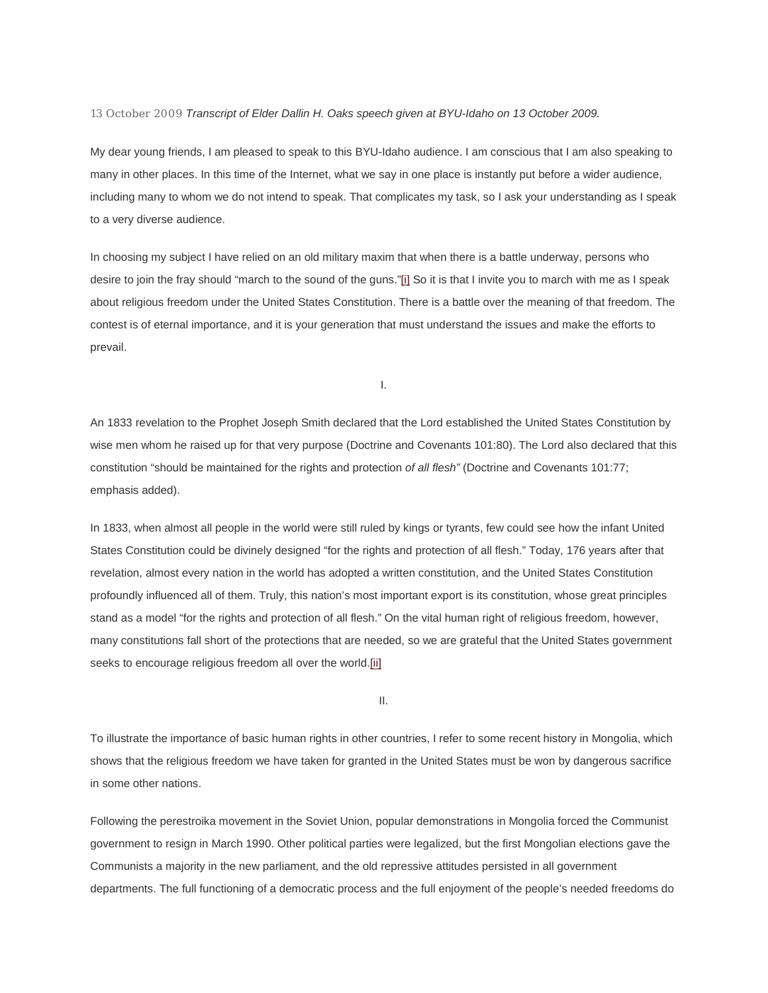13 October 2009 *Transcript of Elder Dallin H. Oaks speech given at BYU-Idaho on 13 October 2009.*

My dear young friends, I am pleased to speak to this BYU-Idaho audience. I am conscious that I am also speaking to many in other places. In this time of the Internet, what we say in one place is instantly put before a wider audience, including many to whom we do not intend to speak. That complicates my task, so I ask your understanding as I speak to a very diverse audience.

In choosing my subject I have relied on an old military maxim that when there is a battle underway, persons who desire to join the fray should "march to the sound of the guns.["\[i\]](http://newsroom.lds.org/ldsnewsroom/eng/news-releases-stories/religious-freedom#_edn1) So it is that I invite you to march with me as I speak about religious freedom under the United States Constitution. There is a battle over the meaning of that freedom. The contest is of eternal importance, and it is your generation that must understand the issues and make the efforts to prevail.

I.

An 1833 revelation to the Prophet Joseph Smith declared that the Lord established the United States Constitution by wise men whom he raised up for that very purpose (Doctrine and Covenants 101:80). The Lord also declared that this constitution "should be maintained for the rights and protection *of all flesh"* (Doctrine and Covenants 101:77; emphasis added).

In 1833, when almost all people in the world were still ruled by kings or tyrants, few could see how the infant United States Constitution could be divinely designed "for the rights and protection of all flesh." Today, 176 years after that revelation, almost every nation in the world has adopted a written constitution, and the United States Constitution profoundly influenced all of them. Truly, this nation's most important export is its constitution, whose great principles stand as a model "for the rights and protection of all flesh." On the vital human right of religious freedom, however, many constitutions fall short of the protections that are needed, so we are grateful that the United States government seeks to encourage religious freedom all over the world[.\[ii\]](http://newsroom.lds.org/ldsnewsroom/eng/news-releases-stories/religious-freedom#_edn2)

II.

To illustrate the importance of basic human rights in other countries, I refer to some recent history in Mongolia, which shows that the religious freedom we have taken for granted in the United States must be won by dangerous sacrifice in some other nations.

Following the perestroika movement in the Soviet Union, popular demonstrations in Mongolia forced the Communist government to resign in March 1990. Other political parties were legalized, but the first Mongolian elections gave the Communists a majority in the new parliament, and the old repressive attitudes persisted in all government departments. The full functioning of a democratic process and the full enjoyment of the people's needed freedoms do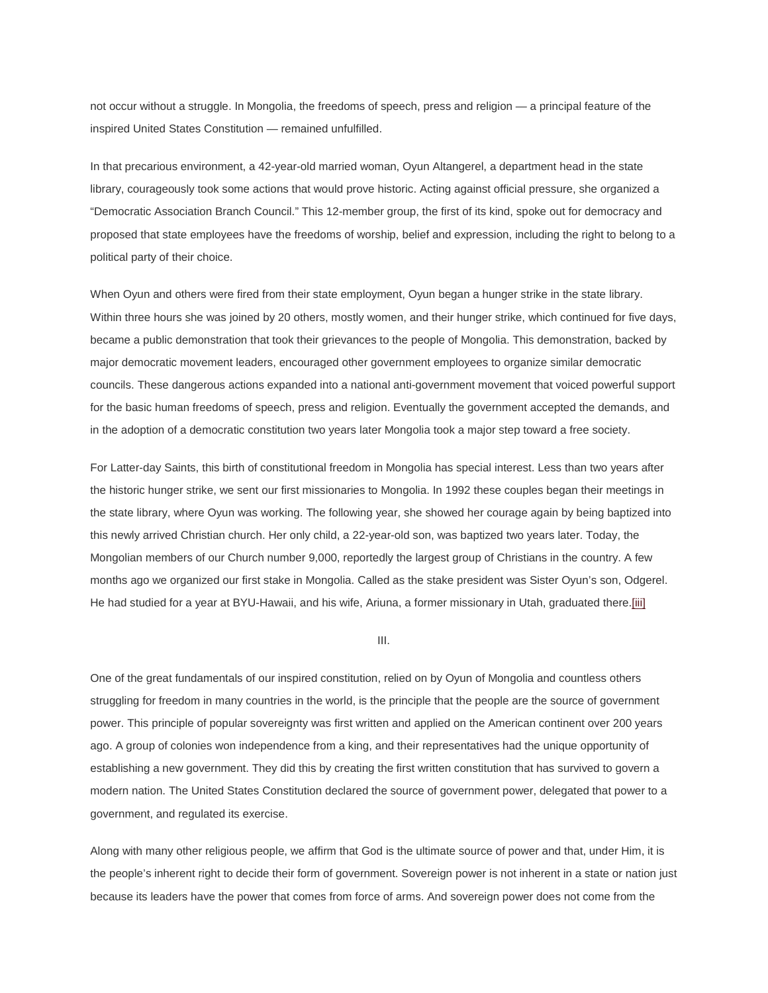not occur without a struggle. In Mongolia, the freedoms of speech, press and religion — a principal feature of the inspired United States Constitution — remained unfulfilled.

In that precarious environment, a 42-year-old married woman, Oyun Altangerel, a department head in the state library, courageously took some actions that would prove historic. Acting against official pressure, she organized a "Democratic Association Branch Council." This 12-member group, the first of its kind, spoke out for democracy and proposed that state employees have the freedoms of worship, belief and expression, including the right to belong to a political party of their choice.

When Oyun and others were fired from their state employment, Oyun began a hunger strike in the state library. Within three hours she was joined by 20 others, mostly women, and their hunger strike, which continued for five days, became a public demonstration that took their grievances to the people of Mongolia. This demonstration, backed by major democratic movement leaders, encouraged other government employees to organize similar democratic councils. These dangerous actions expanded into a national anti-government movement that voiced powerful support for the basic human freedoms of speech, press and religion. Eventually the government accepted the demands, and in the adoption of a democratic constitution two years later Mongolia took a major step toward a free society.

For Latter-day Saints, this birth of constitutional freedom in Mongolia has special interest. Less than two years after the historic hunger strike, we sent our first missionaries to Mongolia. In 1992 these couples began their meetings in the state library, where Oyun was working. The following year, she showed her courage again by being baptized into this newly arrived Christian church. Her only child, a 22-year-old son, was baptized two years later. Today, the Mongolian members of our Church number 9,000, reportedly the largest group of Christians in the country. A few months ago we organized our first stake in Mongolia. Called as the stake president was Sister Oyun's son, Odgerel. He had studied for a year at BYU-Hawaii, and his wife, Ariuna, a former missionary in Utah, graduated ther[e.\[iii\]](http://newsroom.lds.org/ldsnewsroom/eng/news-releases-stories/religious-freedom#_edn3)

III.

One of the great fundamentals of our inspired constitution, relied on by Oyun of Mongolia and countless others struggling for freedom in many countries in the world, is the principle that the people are the source of government power. This principle of popular sovereignty was first written and applied on the American continent over 200 years ago. A group of colonies won independence from a king, and their representatives had the unique opportunity of establishing a new government. They did this by creating the first written constitution that has survived to govern a modern nation. The United States Constitution declared the source of government power, delegated that power to a government, and regulated its exercise.

Along with many other religious people, we affirm that God is the ultimate source of power and that, under Him, it is the people's inherent right to decide their form of government. Sovereign power is not inherent in a state or nation just because its leaders have the power that comes from force of arms. And sovereign power does not come from the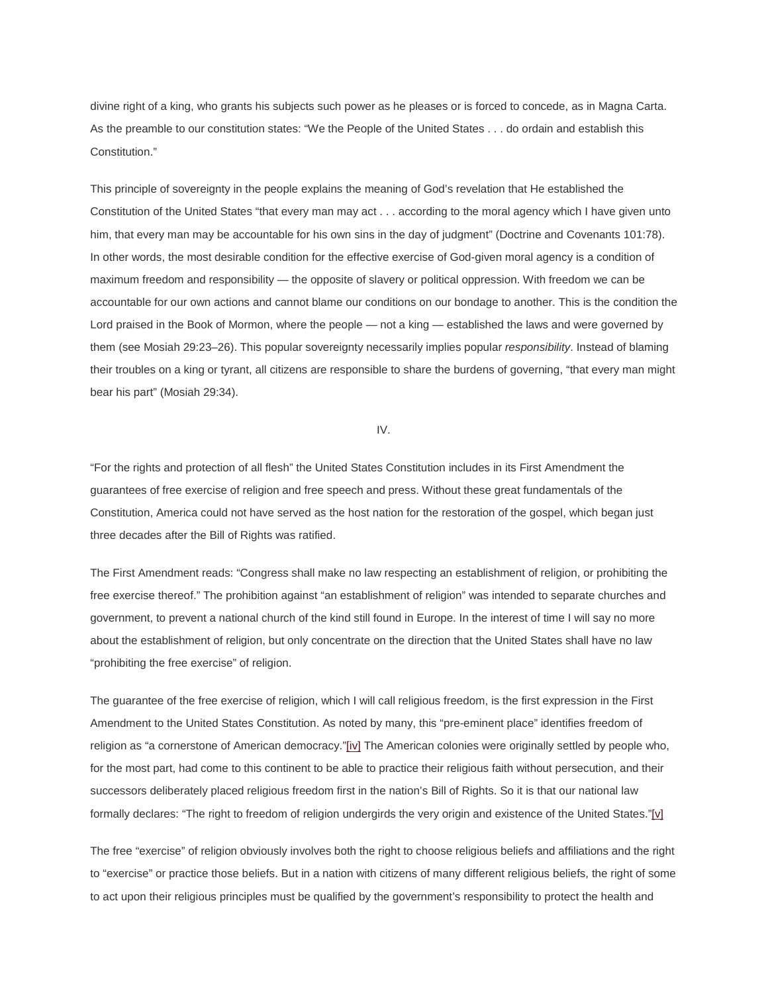divine right of a king, who grants his subjects such power as he pleases or is forced to concede, as in Magna Carta. As the preamble to our constitution states: "We the People of the United States . . . do ordain and establish this Constitution."

This principle of sovereignty in the people explains the meaning of God's revelation that He established the Constitution of the United States "that every man may act . . . according to the moral agency which I have given unto him, that every man may be accountable for his own sins in the day of judgment" (Doctrine and Covenants 101:78). In other words, the most desirable condition for the effective exercise of God-given moral agency is a condition of maximum freedom and responsibility — the opposite of slavery or political oppression. With freedom we can be accountable for our own actions and cannot blame our conditions on our bondage to another. This is the condition the Lord praised in the Book of Mormon, where the people — not a king — established the laws and were governed by them (see Mosiah 29:23–26). This popular sovereignty necessarily implies popular *responsibility*. Instead of blaming their troubles on a king or tyrant, all citizens are responsible to share the burdens of governing, "that every man might bear his part" (Mosiah 29:34).

IV.

"For the rights and protection of all flesh" the United States Constitution includes in its First Amendment the guarantees of free exercise of religion and free speech and press. Without these great fundamentals of the Constitution, America could not have served as the host nation for the restoration of the gospel, which began just three decades after the Bill of Rights was ratified.

The First Amendment reads: "Congress shall make no law respecting an establishment of religion, or prohibiting the free exercise thereof." The prohibition against "an establishment of religion" was intended to separate churches and government, to prevent a national church of the kind still found in Europe. In the interest of time I will say no more about the establishment of religion, but only concentrate on the direction that the United States shall have no law "prohibiting the free exercise" of religion.

The guarantee of the free exercise of religion, which I will call religious freedom, is the first expression in the First Amendment to the United States Constitution. As noted by many, this "pre-eminent place" identifies freedom of religion as "a cornerstone of American democracy.["\[iv\]](http://newsroom.lds.org/ldsnewsroom/eng/news-releases-stories/religious-freedom#_edn4) The American colonies were originally settled by people who, for the most part, had come to this continent to be able to practice their religious faith without persecution, and their successors deliberately placed religious freedom first in the nation's Bill of Rights. So it is that our national law formally declares: "The right to freedom of religion undergirds the very origin and existence of the United States.["\[v\]](http://newsroom.lds.org/ldsnewsroom/eng/news-releases-stories/religious-freedom#_edn5)

The free "exercise" of religion obviously involves both the right to choose religious beliefs and affiliations and the right to "exercise" or practice those beliefs. But in a nation with citizens of many different religious beliefs, the right of some to act upon their religious principles must be qualified by the government's responsibility to protect the health and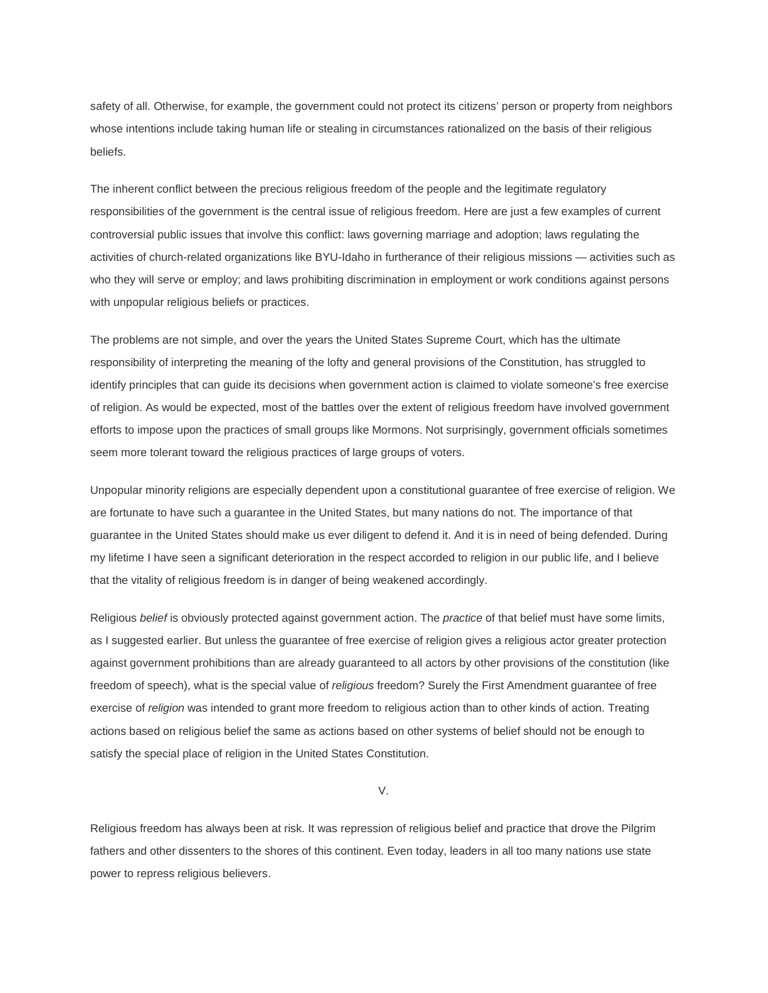safety of all. Otherwise, for example, the government could not protect its citizens' person or property from neighbors whose intentions include taking human life or stealing in circumstances rationalized on the basis of their religious beliefs.

The inherent conflict between the precious religious freedom of the people and the legitimate regulatory responsibilities of the government is the central issue of religious freedom. Here are just a few examples of current controversial public issues that involve this conflict: laws governing marriage and adoption; laws regulating the activities of church-related organizations like BYU-Idaho in furtherance of their religious missions — activities such as who they will serve or employ; and laws prohibiting discrimination in employment or work conditions against persons with unpopular religious beliefs or practices.

The problems are not simple, and over the years the United States Supreme Court, which has the ultimate responsibility of interpreting the meaning of the lofty and general provisions of the Constitution, has struggled to identify principles that can guide its decisions when government action is claimed to violate someone's free exercise of religion. As would be expected, most of the battles over the extent of religious freedom have involved government efforts to impose upon the practices of small groups like Mormons. Not surprisingly, government officials sometimes seem more tolerant toward the religious practices of large groups of voters.

Unpopular minority religions are especially dependent upon a constitutional guarantee of free exercise of religion. We are fortunate to have such a guarantee in the United States, but many nations do not. The importance of that guarantee in the United States should make us ever diligent to defend it. And it is in need of being defended. During my lifetime I have seen a significant deterioration in the respect accorded to religion in our public life, and I believe that the vitality of religious freedom is in danger of being weakened accordingly.

Religious *belief* is obviously protected against government action. The *practice* of that belief must have some limits, as I suggested earlier. But unless the guarantee of free exercise of religion gives a religious actor greater protection against government prohibitions than are already guaranteed to all actors by other provisions of the constitution (like freedom of speech), what is the special value of *religious* freedom? Surely the First Amendment guarantee of free exercise of *religion* was intended to grant more freedom to religious action than to other kinds of action. Treating actions based on religious belief the same as actions based on other systems of belief should not be enough to satisfy the special place of religion in the United States Constitution.

V.

Religious freedom has always been at risk. It was repression of religious belief and practice that drove the Pilgrim fathers and other dissenters to the shores of this continent. Even today, leaders in all too many nations use state power to repress religious believers.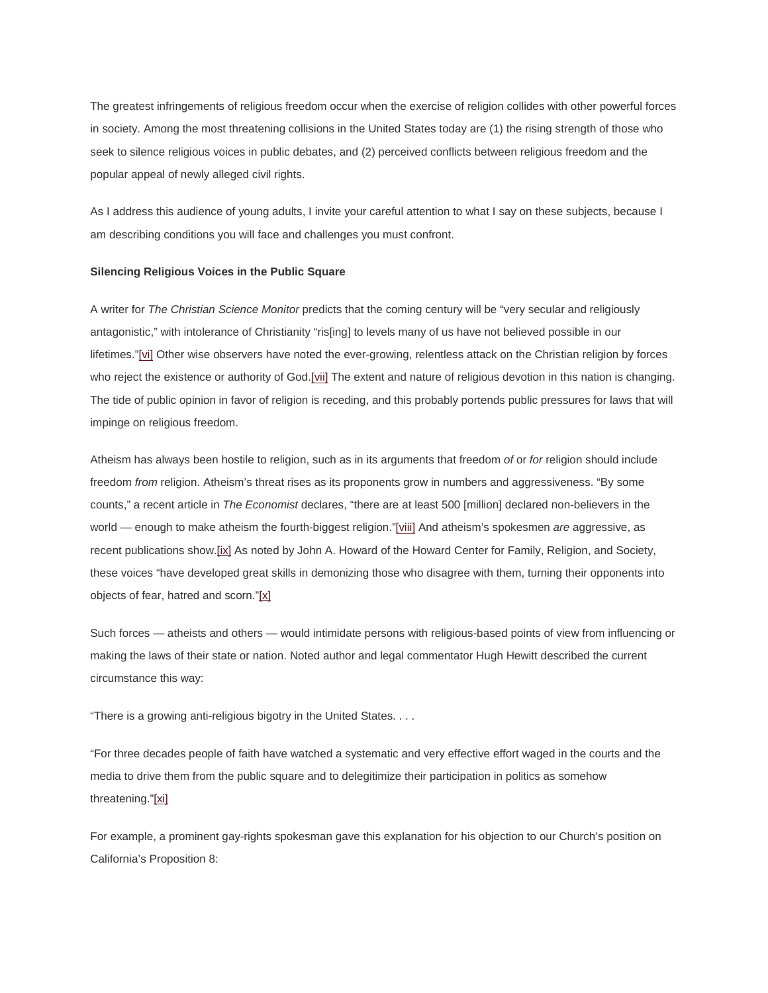The greatest infringements of religious freedom occur when the exercise of religion collides with other powerful forces in society. Among the most threatening collisions in the United States today are (1) the rising strength of those who seek to silence religious voices in public debates, and (2) perceived conflicts between religious freedom and the popular appeal of newly alleged civil rights.

As I address this audience of young adults, I invite your careful attention to what I say on these subjects, because I am describing conditions you will face and challenges you must confront.

## **Silencing Religious Voices in the Public Square**

A writer for *The Christian Science Monitor* predicts that the coming century will be "very secular and religiously antagonistic," with intolerance of Christianity "ris[ing] to levels many of us have not believed possible in our lifetimes.["\[vi\]](http://newsroom.lds.org/ldsnewsroom/eng/news-releases-stories/religious-freedom#_edn6) Other wise observers have noted the ever-growing, relentless attack on the Christian religion by forces who reject the existence or authority of God[.\[vii\]](http://newsroom.lds.org/ldsnewsroom/eng/news-releases-stories/religious-freedom#_edn7) The extent and nature of religious devotion in this nation is changing. The tide of public opinion in favor of religion is receding, and this probably portends public pressures for laws that will impinge on religious freedom.

Atheism has always been hostile to religion, such as in its arguments that freedom *of* or *for* religion should include freedom *from* religion. Atheism's threat rises as its proponents grow in numbers and aggressiveness. "By some counts," a recent article in *The Economist* declares, "there are at least 500 [million] declared non-believers in the world — enough to make atheism the fourth-biggest religion.["\[viii\]](http://newsroom.lds.org/ldsnewsroom/eng/news-releases-stories/religious-freedom#_edn8) And atheism's spokesmen *are* aggressive, as recent publications show[.\[ix\]](http://newsroom.lds.org/ldsnewsroom/eng/news-releases-stories/religious-freedom#_edn9) As noted by John A. Howard of the Howard Center for Family, Religion, and Society, these voices "have developed great skills in demonizing those who disagree with them, turning their opponents into objects of fear, hatred and scorn.["\[x\]](http://newsroom.lds.org/ldsnewsroom/eng/news-releases-stories/religious-freedom#_edn10)

Such forces — atheists and others — would intimidate persons with religious-based points of view from influencing or making the laws of their state or nation. Noted author and legal commentator Hugh Hewitt described the current circumstance this way:

"There is a growing anti-religious bigotry in the United States. . . .

"For three decades people of faith have watched a systematic and very effective effort waged in the courts and the media to drive them from the public square and to delegitimize their participation in politics as somehow threatening.["\[xi\]](http://newsroom.lds.org/ldsnewsroom/eng/news-releases-stories/religious-freedom#_edn11)

For example, a prominent gay-rights spokesman gave this explanation for his objection to our Church's position on California's Proposition 8: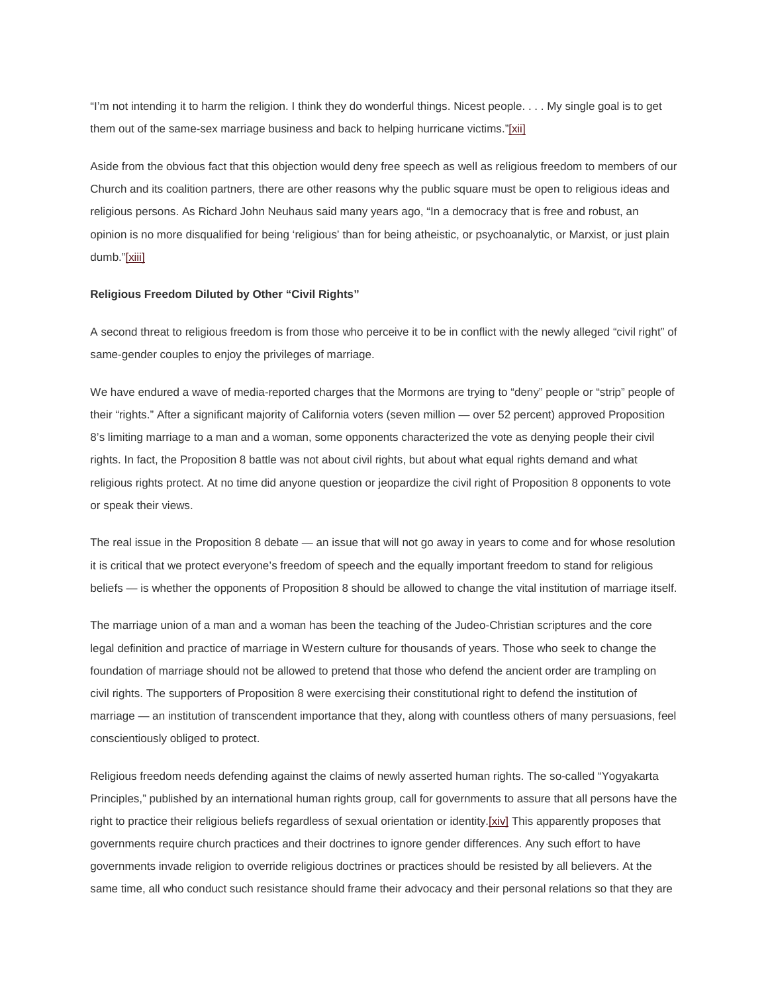"I'm not intending it to harm the religion. I think they do wonderful things. Nicest people. . . . My single goal is to get them out of the same-sex marriage business and back to helping hurricane victims.["\[xii\]](http://newsroom.lds.org/ldsnewsroom/eng/news-releases-stories/religious-freedom#_edn12)

Aside from the obvious fact that this objection would deny free speech as well as religious freedom to members of our Church and its coalition partners, there are other reasons why the public square must be open to religious ideas and religious persons. As Richard John Neuhaus said many years ago, "In a democracy that is free and robust, an opinion is no more disqualified for being 'religious' than for being atheistic, or psychoanalytic, or Marxist, or just plain dumb.["\[xiii\]](http://newsroom.lds.org/ldsnewsroom/eng/news-releases-stories/religious-freedom#_edn13)

#### **Religious Freedom Diluted by Other "Civil Rights"**

A second threat to religious freedom is from those who perceive it to be in conflict with the newly alleged "civil right" of same-gender couples to enjoy the privileges of marriage.

We have endured a wave of media-reported charges that the Mormons are trying to "deny" people or "strip" people of their "rights." After a significant majority of California voters (seven million — over 52 percent) approved Proposition 8's limiting marriage to a man and a woman, some opponents characterized the vote as denying people their civil rights. In fact, the Proposition 8 battle was not about civil rights, but about what equal rights demand and what religious rights protect. At no time did anyone question or jeopardize the civil right of Proposition 8 opponents to vote or speak their views.

The real issue in the Proposition 8 debate — an issue that will not go away in years to come and for whose resolution it is critical that we protect everyone's freedom of speech and the equally important freedom to stand for religious beliefs — is whether the opponents of Proposition 8 should be allowed to change the vital institution of marriage itself.

The marriage union of a man and a woman has been the teaching of the Judeo-Christian scriptures and the core legal definition and practice of marriage in Western culture for thousands of years. Those who seek to change the foundation of marriage should not be allowed to pretend that those who defend the ancient order are trampling on civil rights. The supporters of Proposition 8 were exercising their constitutional right to defend the institution of marriage — an institution of transcendent importance that they, along with countless others of many persuasions, feel conscientiously obliged to protect.

Religious freedom needs defending against the claims of newly asserted human rights. The so-called "Yogyakarta Principles," published by an international human rights group, call for governments to assure that all persons have the right to practice their religious beliefs regardless of sexual orientation or identit[y.\[xiv\]](http://newsroom.lds.org/ldsnewsroom/eng/news-releases-stories/religious-freedom#_edn14) This apparently proposes that governments require church practices and their doctrines to ignore gender differences. Any such effort to have governments invade religion to override religious doctrines or practices should be resisted by all believers. At the same time, all who conduct such resistance should frame their advocacy and their personal relations so that they are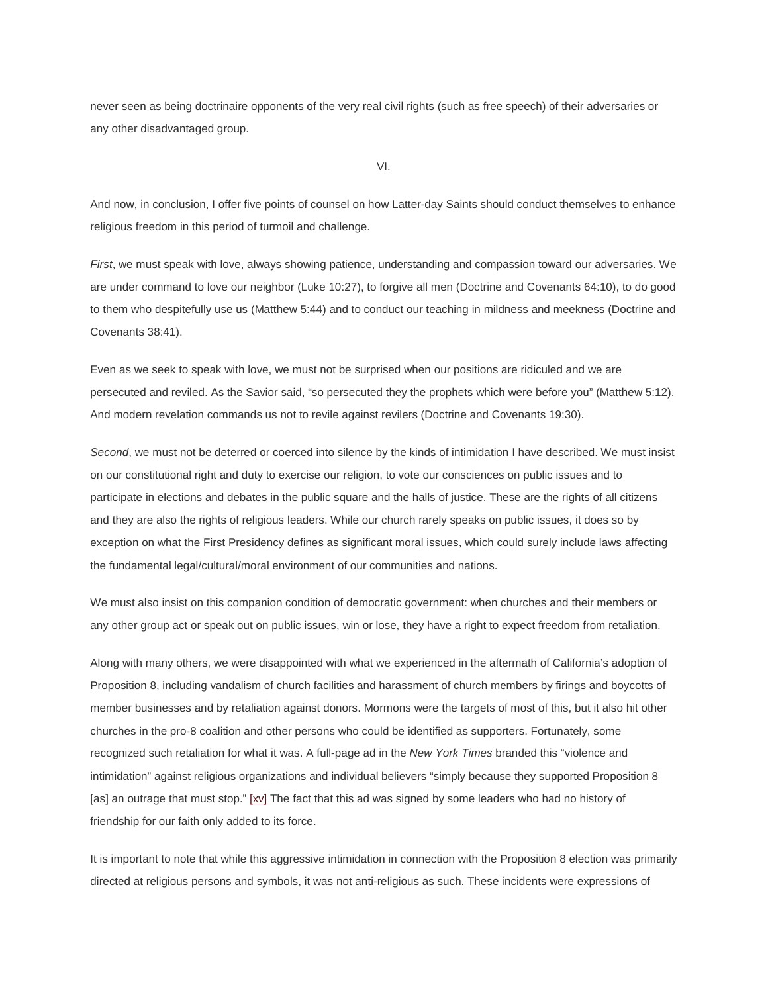never seen as being doctrinaire opponents of the very real civil rights (such as free speech) of their adversaries or any other disadvantaged group.

VI.

And now, in conclusion, I offer five points of counsel on how Latter-day Saints should conduct themselves to enhance religious freedom in this period of turmoil and challenge.

*First*, we must speak with love, always showing patience, understanding and compassion toward our adversaries. We are under command to love our neighbor (Luke 10:27), to forgive all men (Doctrine and Covenants 64:10), to do good to them who despitefully use us (Matthew 5:44) and to conduct our teaching in mildness and meekness (Doctrine and Covenants 38:41).

Even as we seek to speak with love, we must not be surprised when our positions are ridiculed and we are persecuted and reviled. As the Savior said, "so persecuted they the prophets which were before you" (Matthew 5:12). And modern revelation commands us not to revile against revilers (Doctrine and Covenants 19:30).

*Second*, we must not be deterred or coerced into silence by the kinds of intimidation I have described. We must insist on our constitutional right and duty to exercise our religion, to vote our consciences on public issues and to participate in elections and debates in the public square and the halls of justice. These are the rights of all citizens and they are also the rights of religious leaders. While our church rarely speaks on public issues, it does so by exception on what the First Presidency defines as significant moral issues, which could surely include laws affecting the fundamental legal/cultural/moral environment of our communities and nations.

We must also insist on this companion condition of democratic government: when churches and their members or any other group act or speak out on public issues, win or lose, they have a right to expect freedom from retaliation.

Along with many others, we were disappointed with what we experienced in the aftermath of California's adoption of Proposition 8, including vandalism of church facilities and harassment of church members by firings and boycotts of member businesses and by retaliation against donors. Mormons were the targets of most of this, but it also hit other churches in the pro-8 coalition and other persons who could be identified as supporters. Fortunately, some recognized such retaliation for what it was. A full-page ad in the *New York Times* branded this "violence and intimidation" against religious organizations and individual believers "simply because they supported Proposition 8 [as] an outrage that must stop." [\[xv\]](http://newsroom.lds.org/ldsnewsroom/eng/news-releases-stories/religious-freedom#_edn15) The fact that this ad was signed by some leaders who had no history of friendship for our faith only added to its force.

It is important to note that while this aggressive intimidation in connection with the Proposition 8 election was primarily directed at religious persons and symbols, it was not anti-religious as such. These incidents were expressions of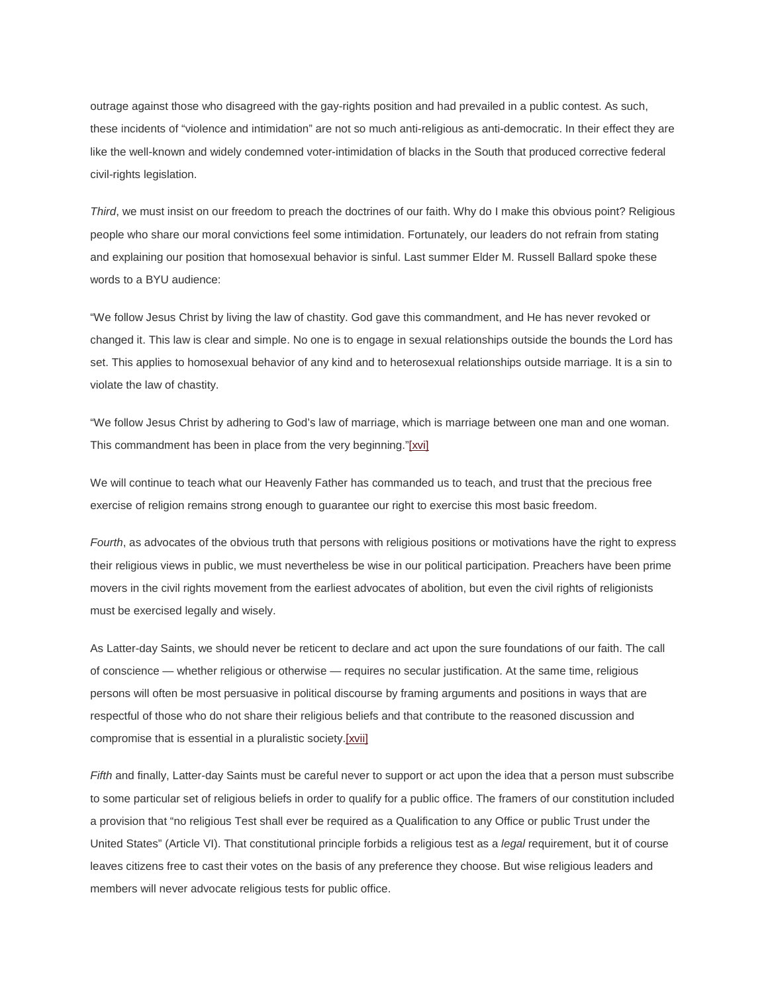outrage against those who disagreed with the gay-rights position and had prevailed in a public contest. As such, these incidents of "violence and intimidation" are not so much anti-religious as anti-democratic. In their effect they are like the well-known and widely condemned voter-intimidation of blacks in the South that produced corrective federal civil-rights legislation.

*Third*, we must insist on our freedom to preach the doctrines of our faith. Why do I make this obvious point? Religious people who share our moral convictions feel some intimidation. Fortunately, our leaders do not refrain from stating and explaining our position that homosexual behavior is sinful. Last summer Elder M. Russell Ballard spoke these words to a BYU audience:

"We follow Jesus Christ by living the law of chastity. God gave this commandment, and He has never revoked or changed it. This law is clear and simple. No one is to engage in sexual relationships outside the bounds the Lord has set. This applies to homosexual behavior of any kind and to heterosexual relationships outside marriage. It is a sin to violate the law of chastity.

"We follow Jesus Christ by adhering to God's law of marriage, which is marriage between one man and one woman. This commandment has been in place from the very beginning.["\[xvi\]](http://newsroom.lds.org/ldsnewsroom/eng/news-releases-stories/religious-freedom#_edn16)

We will continue to teach what our Heavenly Father has commanded us to teach, and trust that the precious free exercise of religion remains strong enough to guarantee our right to exercise this most basic freedom.

*Fourth*, as advocates of the obvious truth that persons with religious positions or motivations have the right to express their religious views in public, we must nevertheless be wise in our political participation. Preachers have been prime movers in the civil rights movement from the earliest advocates of abolition, but even the civil rights of religionists must be exercised legally and wisely.

As Latter-day Saints, we should never be reticent to declare and act upon the sure foundations of our faith. The call of conscience — whether religious or otherwise — requires no secular justification. At the same time, religious persons will often be most persuasive in political discourse by framing arguments and positions in ways that are respectful of those who do not share their religious beliefs and that contribute to the reasoned discussion and compromise that is essential in a pluralistic societ[y.\[xvii\]](http://newsroom.lds.org/ldsnewsroom/eng/news-releases-stories/religious-freedom#_edn17)

*Fifth* and finally, Latter-day Saints must be careful never to support or act upon the idea that a person must subscribe to some particular set of religious beliefs in order to qualify for a public office. The framers of our constitution included a provision that "no religious Test shall ever be required as a Qualification to any Office or public Trust under the United States" (Article VI). That constitutional principle forbids a religious test as a *legal* requirement, but it of course leaves citizens free to cast their votes on the basis of any preference they choose. But wise religious leaders and members will never advocate religious tests for public office.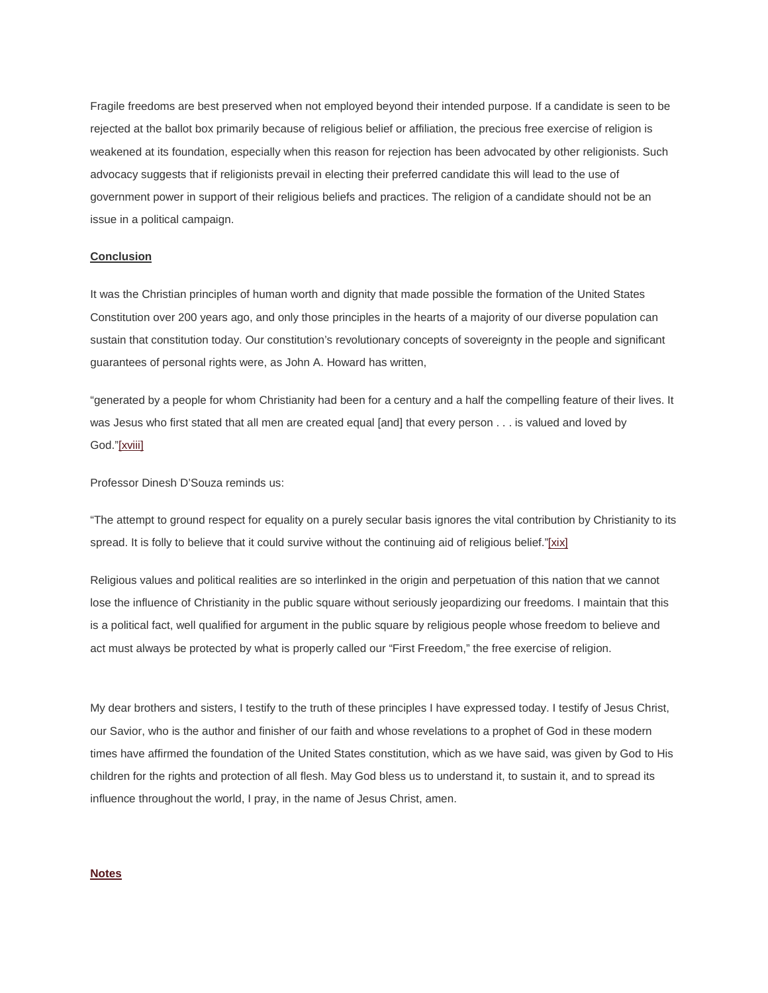Fragile freedoms are best preserved when not employed beyond their intended purpose. If a candidate is seen to be rejected at the ballot box primarily because of religious belief or affiliation, the precious free exercise of religion is weakened at its foundation, especially when this reason for rejection has been advocated by other religionists. Such advocacy suggests that if religionists prevail in electing their preferred candidate this will lead to the use of government power in support of their religious beliefs and practices. The religion of a candidate should not be an issue in a political campaign.

# **Conclusion**

It was the Christian principles of human worth and dignity that made possible the formation of the United States Constitution over 200 years ago, and only those principles in the hearts of a majority of our diverse population can sustain that constitution today. Our constitution's revolutionary concepts of sovereignty in the people and significant guarantees of personal rights were, as John A. Howard has written,

"generated by a people for whom Christianity had been for a century and a half the compelling feature of their lives. It was Jesus who first stated that all men are created equal [and] that every person . . . is valued and loved by God.["\[xviii\]](http://newsroom.lds.org/ldsnewsroom/eng/news-releases-stories/religious-freedom#_edn18)

Professor Dinesh D'Souza reminds us:

"The attempt to ground respect for equality on a purely secular basis ignores the vital contribution by Christianity to its spread. It is folly to believe that it could survive without the continuing aid of religious belief.["\[xix\]](http://newsroom.lds.org/ldsnewsroom/eng/news-releases-stories/religious-freedom#_edn19)

Religious values and political realities are so interlinked in the origin and perpetuation of this nation that we cannot lose the influence of Christianity in the public square without seriously jeopardizing our freedoms. I maintain that this is a political fact, well qualified for argument in the public square by religious people whose freedom to believe and act must always be protected by what is properly called our "First Freedom," the free exercise of religion.

My dear brothers and sisters, I testify to the truth of these principles I have expressed today. I testify of Jesus Christ, our Savior, who is the author and finisher of our faith and whose revelations to a prophet of God in these modern times have affirmed the foundation of the United States constitution, which as we have said, was given by God to His children for the rights and protection of all flesh. May God bless us to understand it, to sustain it, and to spread its influence throughout the world, I pray, in the name of Jesus Christ, amen.

# **[Notes](http://newsroom.lds.org/ldsnewsroom/eng/news-releases-stories/religious-freedom#_ednref1)**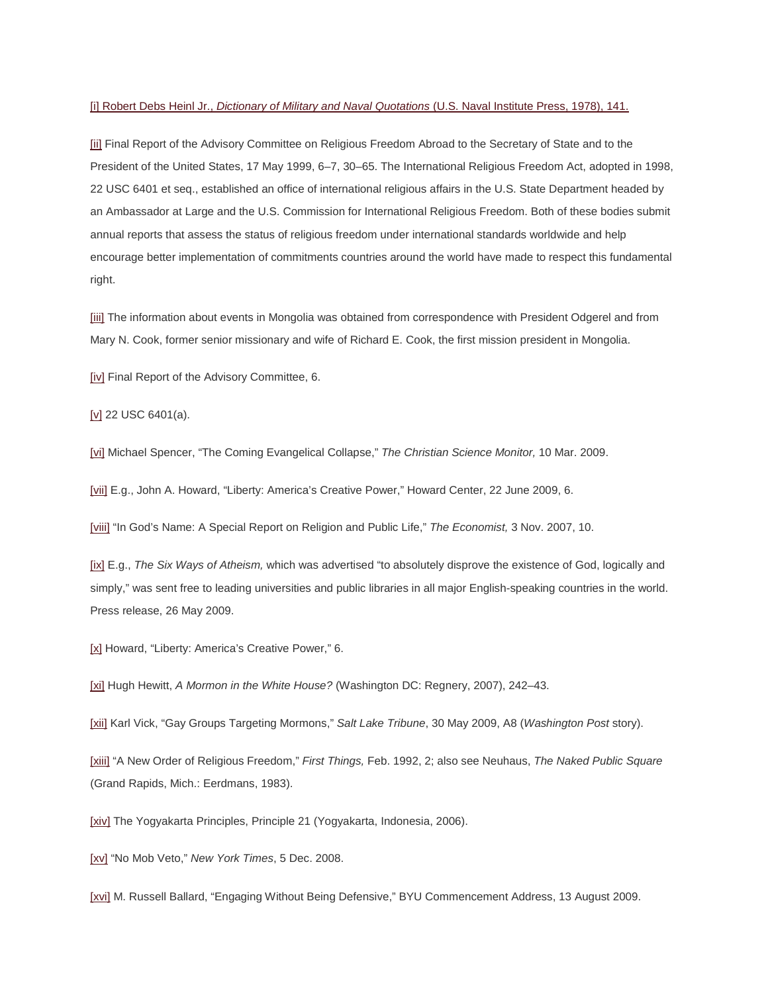## [i] Robert Debs Heinl Jr., *Dictionary of Military and Naval Quotations* (U.S. Naval Institute Press, 1978), 141.

[\[ii\]](http://newsroom.lds.org/ldsnewsroom/eng/news-releases-stories/religious-freedom#_ednref2) Final Report of the Advisory Committee on Religious Freedom Abroad to the Secretary of State and to the President of the United States, 17 May 1999, 6–7, 30–65. The International Religious Freedom Act, adopted in 1998, 22 USC 6401 et seq., established an office of international religious affairs in the U.S. State Department headed by an Ambassador at Large and the U.S. Commission for International Religious Freedom. Both of these bodies submit annual reports that assess the status of religious freedom under international standards worldwide and help encourage better implementation of commitments countries around the world have made to respect this fundamental right.

[\[iii\]](http://newsroom.lds.org/ldsnewsroom/eng/news-releases-stories/religious-freedom#_ednref3) The information about events in Mongolia was obtained from correspondence with President Odgerel and from Mary N. Cook, former senior missionary and wife of Richard E. Cook, the first mission president in Mongolia.

[\[iv\]](http://newsroom.lds.org/ldsnewsroom/eng/news-releases-stories/religious-freedom#_ednref4) Final Report of the Advisory Committee, 6.

[\[v\]](http://newsroom.lds.org/ldsnewsroom/eng/news-releases-stories/religious-freedom#_ednref5) 22 USC 6401(a).

[\[vi\]](http://newsroom.lds.org/ldsnewsroom/eng/news-releases-stories/religious-freedom#_ednref6) Michael Spencer, "The Coming Evangelical Collapse," *The Christian Science Monitor,* 10 Mar. 2009.

[\[vii\]](http://newsroom.lds.org/ldsnewsroom/eng/news-releases-stories/religious-freedom#_ednref7) E.g., John A. Howard, "Liberty: America's Creative Power," Howard Center, 22 June 2009, 6.

[\[viii\]](http://newsroom.lds.org/ldsnewsroom/eng/news-releases-stories/religious-freedom#_ednref8) "In God's Name: A Special Report on Religion and Public Life," *The Economist,* 3 Nov. 2007, 10.

[\[ix\]](http://newsroom.lds.org/ldsnewsroom/eng/news-releases-stories/religious-freedom#_ednref9) E.g., *The Six Ways of Atheism,* which was advertised "to absolutely disprove the existence of God, logically and simply," was sent free to leading universities and public libraries in all major English-speaking countries in the world. Press release, 26 May 2009.

[\[x\]](http://newsroom.lds.org/ldsnewsroom/eng/news-releases-stories/religious-freedom#_ednref10) Howard, "Liberty: America's Creative Power," 6.

[\[xi\]](http://newsroom.lds.org/ldsnewsroom/eng/news-releases-stories/religious-freedom#_ednref11) Hugh Hewitt, *A Mormon in the White House?* (Washington DC: Regnery, 2007), 242–43.

[\[xii\]](http://newsroom.lds.org/ldsnewsroom/eng/news-releases-stories/religious-freedom#_ednref12) Karl Vick, "Gay Groups Targeting Mormons," *Salt Lake Tribune*, 30 May 2009, A8 (*Washington Post* story).

[\[xiii\]](http://newsroom.lds.org/ldsnewsroom/eng/news-releases-stories/religious-freedom#_ednref13) "A New Order of Religious Freedom," *First Things,* Feb. 1992, 2; also see Neuhaus, *The Naked Public Square* (Grand Rapids, Mich.: Eerdmans, 1983).

[\[xiv\]](http://newsroom.lds.org/ldsnewsroom/eng/news-releases-stories/religious-freedom#_ednref14) The Yogyakarta Principles, Principle 21 (Yogyakarta, Indonesia, 2006).

[\[xv\]](http://newsroom.lds.org/ldsnewsroom/eng/news-releases-stories/religious-freedom#_ednref15) "No Mob Veto," *New York Times*, 5 Dec. 2008.

[\[xvi\]](http://newsroom.lds.org/ldsnewsroom/eng/news-releases-stories/religious-freedom#_ednref16) M. Russell Ballard, "Engaging Without Being Defensive," BYU Commencement Address, 13 August 2009.